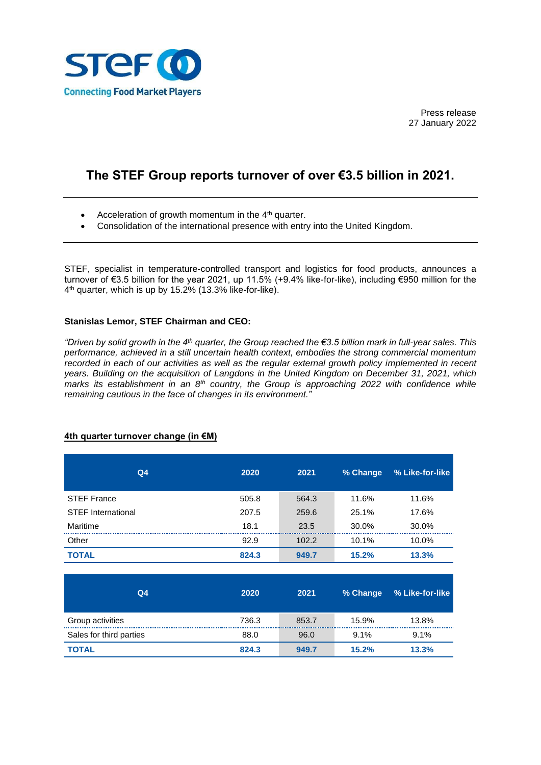

Press release 27 January 2022

# **The STEF Group reports turnover of over €3.5 billion in 2021.**

- Acceleration of growth momentum in the  $4<sup>th</sup>$  quarter.
- Consolidation of the international presence with entry into the United Kingdom.

STEF, specialist in temperature-controlled transport and logistics for food products, announces a turnover of €3.5 billion for the year 2021, up 11.5% (+9.4% like-for-like), including €950 million for the 4 th quarter, which is up by 15.2% (13.3% like-for-like).

## **Stanislas Lemor, STEF Chairman and CEO:**

*"Driven by solid growth in the 4th quarter, the Group reached the €3.5 billion mark in full-year sales. This performance, achieved in a still uncertain health context, embodies the strong commercial momentum recorded in each of our activities as well as the regular external growth policy implemented in recent years. Building on the acquisition of Langdons in the United Kingdom on December 31, 2021, which marks its establishment in an 8th country, the Group is approaching 2022 with confidence while remaining cautious in the face of changes in its environment."* 

| Q <sub>4</sub>            | 2020  | 2021  | % Change | % Like-for-like |
|---------------------------|-------|-------|----------|-----------------|
| <b>STEF France</b>        | 505.8 | 564.3 | 11.6%    | 11.6%           |
| <b>STEF International</b> | 207.5 | 259.6 | 25.1%    | 17.6%           |
| Maritime                  | 18.1  | 23.5  | 30.0%    | 30.0%           |
| Other                     | 92.9  | 102.2 | 10.1%    | 10.0%           |
| <b>TOTAL</b>              | 824.3 | 949.7 | 15.2%    | 13.3%           |
| Q <sub>4</sub>            | 2020  | 2021  | % Change | % Like-for-like |
| Group activities          | 736.3 | 853.7 | 15.9%    | 13.8%           |
| Sales for third parties   | 88.0  | 96.0  | 9.1%     | $9.1\%$         |
| TOTAL                     | 824.3 | 949.7 | 15.2%    | 13.3%           |

# **4th quarter turnover change (in €M)**